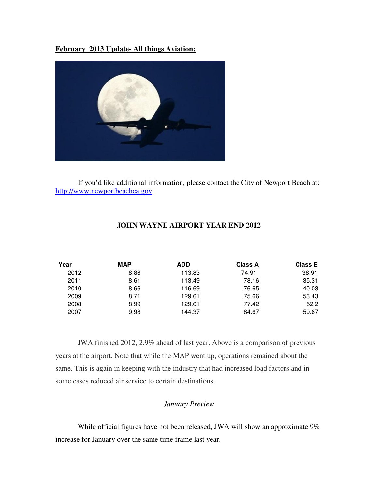**February 2013 Update- All things Aviation:**



 If you'd like additional information, please contact the City of Newport Beach at: http://www.newportbeachca.gov

# **JOHN WAYNE AIRPORT YEAR END 2012**

| Year | <b>MAP</b> | <b>ADD</b> | <b>Class A</b> | <b>Class E</b> |
|------|------------|------------|----------------|----------------|
| 2012 | 8.86       | 113.83     | 74.91          | 38.91          |
| 2011 | 8.61       | 113.49     | 78.16          | 35.31          |
| 2010 | 8.66       | 116.69     | 76.65          | 40.03          |
| 2009 | 8.71       | 129.61     | 75.66          | 53.43          |
| 2008 | 8.99       | 129.61     | 77.42          | 52.2           |
| 2007 | 9.98       | 144.37     | 84.67          | 59.67          |

 JWA finished 2012, 2.9% ahead of last year. Above is a comparison of previous years at the airport. Note that while the MAP went up, operations remained about the same. This is again in keeping with the industry that had increased load factors and in some cases reduced air service to certain destinations.

# *January Preview*

 While official figures have not been released, JWA will show an approximate 9% increase for January over the same time frame last year.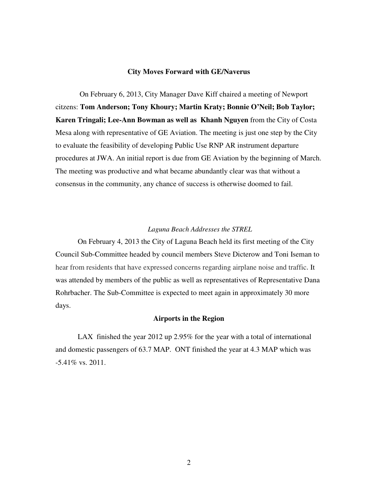#### **City Moves Forward with GE/Naverus**

 On February 6, 2013, City Manager Dave Kiff chaired a meeting of Newport citzens: **Tom Anderson; Tony Khoury; Martin Kraty; Bonnie O'Neil; Bob Taylor; Karen Tringali; Lee-Ann Bowman as well as Khanh Nguyen** from the City of Costa Mesa along with representative of GE Aviation. The meeting is just one step by the City to evaluate the feasibility of developing Public Use RNP AR instrument departure procedures at JWA. An initial report is due from GE Aviation by the beginning of March. The meeting was productive and what became abundantly clear was that without a consensus in the community, any chance of success is otherwise doomed to fail.

#### *Laguna Beach Addresses the STREL*

 On February 4, 2013 the City of Laguna Beach held its first meeting of the City Council Sub-Committee headed by council members Steve Dicterow and Toni Iseman to hear from residents that have expressed concerns regarding airplane noise and traffic. It was attended by members of the public as well as representatives of Representative Dana Rohrbacher. The Sub-Committee is expected to meet again in approximately 30 more days.

# **Airports in the Region**

LAX finished the year 2012 up 2.95% for the year with a total of international and domestic passengers of 63.7 MAP. ONT finished the year at 4.3 MAP which was -5.41% vs. 2011.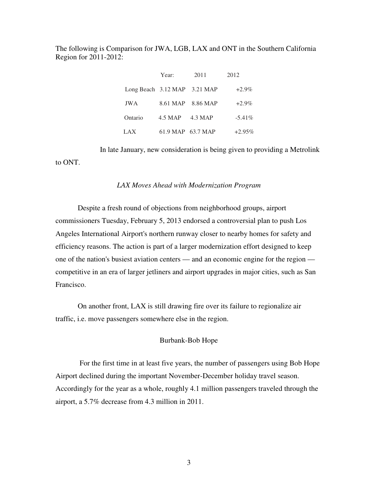The following is Comparison for JWA, LGB, LAX and ONT in the Southern California Region for 2011-2012:

|                              | Year:                               | 2011              | 2012      |
|------------------------------|-------------------------------------|-------------------|-----------|
| Long Beach 3.12 MAP 3.21 MAP |                                     |                   | $+2.9\%$  |
| <b>JWA</b>                   |                                     | 8.61 MAP 8.86 MAP | $+2.9\%$  |
| Ontario                      | $4.5 \text{ MAP}$ $4.3 \text{ MAP}$ |                   | $-5.41\%$ |
| LAX                          | 61.9 MAP 63.7 MAP                   |                   | $+2.95\%$ |

 In late January, new consideration is being given to providing a Metrolink to ONT.

# *LAX Moves Ahead with Modernization Program*

 Despite a fresh round of objections from neighborhood groups, airport commissioners Tuesday, February 5, 2013 endorsed a controversial plan to push Los Angeles International Airport's northern runway closer to nearby homes for safety and efficiency reasons. The action is part of a larger modernization effort designed to keep one of the nation's busiest aviation centers — and an economic engine for the region competitive in an era of larger jetliners and airport upgrades in major cities, such as San Francisco.

 On another front, LAX is still drawing fire over its failure to regionalize air traffic, i.e. move passengers somewhere else in the region.

### Burbank-Bob Hope

 For the first time in at least five years, the number of passengers using Bob Hope Airport declined during the important November-December holiday travel season. Accordingly for the year as a whole, roughly 4.1 million passengers traveled through the airport, a 5.7% decrease from 4.3 million in 2011.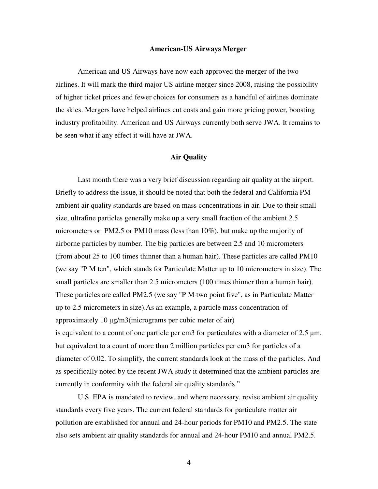### **American-US Airways Merger**

 American and US Airways have now each approved the merger of the two airlines. It will mark the third major US airline merger since 2008, raising the possibility of higher ticket prices and fewer choices for consumers as a handful of airlines dominate the skies. Mergers have helped airlines cut costs and gain more pricing power, boosting industry profitability. American and US Airways currently both serve JWA. It remains to be seen what if any effect it will have at JWA.

### **Air Quality**

Last month there was a very brief discussion regarding air quality at the airport. Briefly to address the issue, it should be noted that both the federal and California PM ambient air quality standards are based on mass concentrations in air. Due to their small size, ultrafine particles generally make up a very small fraction of the ambient 2.5 micrometers or PM2.5 or PM10 mass (less than 10%), but make up the majority of airborne particles by number. The big particles are between 2.5 and 10 micrometers (from about 25 to 100 times thinner than a human hair). These particles are called PM10 (we say "P M ten", which stands for Particulate Matter up to 10 micrometers in size). The small particles are smaller than 2.5 micrometers (100 times thinner than a human hair). These particles are called PM2.5 (we say "P M two point five", as in Particulate Matter up to 2.5 micrometers in size).As an example, a particle mass concentration of approximately 10 µg/m3(micrograms per cubic meter of air) is equivalent to a count of one particle per cm3 for particulates with a diameter of  $2.5 \mu m$ , but equivalent to a count of more than 2 million particles per cm3 for particles of a diameter of 0.02. To simplify, the current standards look at the mass of the particles. And as specifically noted by the recent JWA study it determined that the ambient particles are currently in conformity with the federal air quality standards."

 U.S. EPA is mandated to review, and where necessary, revise ambient air quality standards every five years. The current federal standards for particulate matter air pollution are established for annual and 24-hour periods for PM10 and PM2.5. The state also sets ambient air quality standards for annual and 24-hour PM10 and annual PM2.5.

4